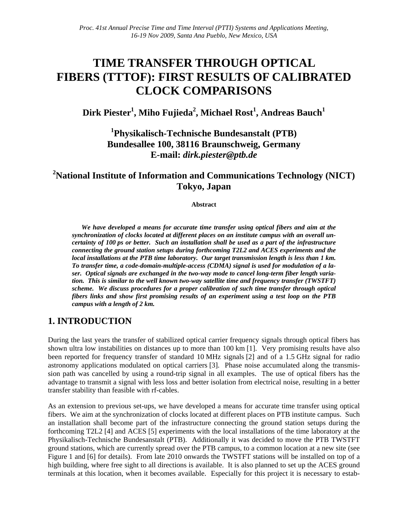# **TIME TRANSFER THROUGH OPTICAL FIBERS (TTTOF): FIRST RESULTS OF CALIBRATED CLOCK COMPARISONS**

 $\mathbf{Dirk \: Piester}^{1},$  Miho Fujieda $^{2},$  Michael Rost $^{1},$  Andreas Bauch $^{1}$ 

**1 Physikalisch-Technische Bundesanstalt (PTB) Bundesallee 100, 38116 Braunschweig, Germany E-mail:** *dirk.piester@ptb.de*

**2 National Institute of Information and Communications Technology (NICT) Tokyo, Japan** 

#### **Abstract**

*We have developed a means for accurate time transfer using optical fibers and aim at the synchronization of clocks located at different places on an institute campus with an overall uncertainty of 100 ps or better. Such an installation shall be used as a part of the infrastructure connecting the ground station setups during forthcoming T2L2 and ACES experiments and the local installations at the PTB time laboratory. Our target transmission length is less than 1 km. To transfer time, a code-domain-multiple-access (CDMA) signal is used for modulation of a laser. Optical signals are exchanged in the two-way mode to cancel long-term fiber length variation. This is similar to the well known two-way satellite time and frequency transfer (TWSTFT) scheme. We discuss procedures for a proper calibration of such time transfer through optical fibers links and show first promising results of an experiment using a test loop on the PTB campus with a length of 2 km.* 

### **1. INTRODUCTION**

During the last years the transfer of stabilized optical carrier frequency signals through optical fibers has shown ultra low instabilities on distances up to more than 100 km [1]. Very promising results have also been reported for frequency transfer of standard 10 MHz signals [2] and of a 1.5 GHz signal for radio astronomy applications modulated on optical carriers [3]. Phase noise accumulated along the transmission path was cancelled by using a round-trip signal in all examples. The use of optical fibers has the advantage to transmit a signal with less loss and better isolation from electrical noise, resulting in a better transfer stability than feasible with rf-cables.

As an extension to previous set-ups, we have developed a means for accurate time transfer using optical fibers. We aim at the synchronization of clocks located at different places on PTB institute campus. Such an installation shall become part of the infrastructure connecting the ground station setups during the forthcoming T2L2 [4] and ACES [5] experiments with the local installations of the time laboratory at the Physikalisch-Technische Bundesanstalt (PTB). Additionally it was decided to move the PTB TWSTFT ground stations, which are currently spread over the PTB campus, to a common location at a new site (see Figure 1 and [6] for details). From late 2010 onwards the TWSTFT stations will be installed on top of a high building, where free sight to all directions is available. It is also planned to set up the ACES ground terminals at this location, when it becomes available. Especially for this project it is necessary to estab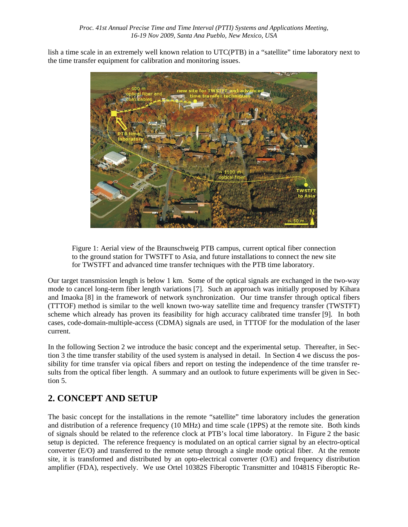lish a time scale in an extremely well known relation to UTC(PTB) in a "satellite" time laboratory next to the time transfer equipment for calibration and monitoring issues.



Figure 1: Aerial view of the Braunschweig PTB campus, current optical fiber connection to the ground station for TWSTFT to Asia, and future installations to connect the new site for TWSTFT and advanced time transfer techniques with the PTB time laboratory.

Our target transmission length is below 1 km. Some of the optical signals are exchanged in the two-way mode to cancel long-term fiber length variations [7]. Such an approach was initially proposed by Kihara and Imaoka [8] in the framework of network synchronization. Our time transfer through optical fibers (TTTOF) method is similar to the well known two-way satellite time and frequency transfer (TWSTFT) scheme which already has proven its feasibility for high accuracy calibrated time transfer [9]. In both cases, code-domain-multiple-access (CDMA) signals are used, in TTTOF for the modulation of the laser current.

In the following Section 2 we introduce the basic concept and the experimental setup. Thereafter, in Section 3 the time transfer stability of the used system is analysed in detail. In Section 4 we discuss the possibility for time transfer via opical fibers and report on testing the independence of the time transfer results from the optical fiber length. A summary and an outlook to future experiments will be given in Section 5.

## **2. CONCEPT AND SETUP**

The basic concept for the installations in the remote "satellite" time laboratory includes the generation and distribution of a reference frequency (10 MHz) and time scale (1PPS) at the remote site. Both kinds of signals should be related to the reference clock at PTB's local time laboratory. In Figure 2 the basic setup is depicted. The reference frequency is modulated on an optical carrier signal by an electro-optical converter (E/O) and transferred to the remote setup through a single mode optical fiber. At the remote site, it is transformed and distributed by an opto-electrical converter (O/E) and frequency distribution amplifier (FDA), respectively. We use Ortel 10382S Fiberoptic Transmitter and 10481S Fiberoptic Re-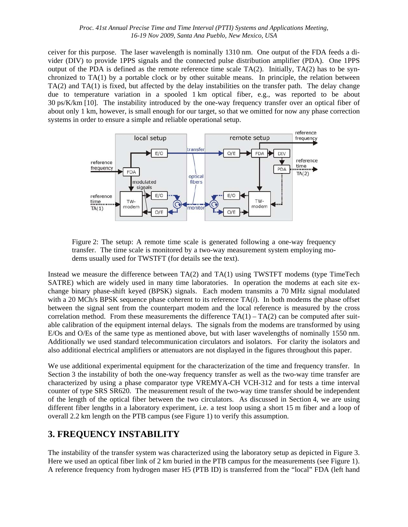ceiver for this purpose. The laser wavelength is nominally 1310 nm. One output of the FDA feeds a divider (DIV) to provide 1PPS signals and the connected pulse distribution amplifier (PDA). One 1PPS output of the PDA is defined as the remote reference time scale TA(2). Initially, TA(2) has to be synchronized to TA(1) by a portable clock or by other suitable means. In principle, the relation between TA(2) and TA(1) is fixed, but affected by the delay instabilities on the transfer path. The delay change due to temperature variation in a spooled 1 km optical fiber, e.g., was reported to be about 30 ps/K/km [10]. The instability introduced by the one-way frequency transfer over an optical fiber of about only 1 km, however, is small enough for our target, so that we omitted for now any phase correction systems in order to ensure a simple and reliable operational setup.



Figure 2: The setup: A remote time scale is generated following a one-way frequency transfer. The time scale is monitored by a two-way measurement system employing modems usually used for TWSTFT (for details see the text).

Instead we measure the difference between TA(2) and TA(1) using TWSTFT modems (type TimeTech SATRE) which are widely used in many time laboratories. In operation the modems at each site exchange binary phase-shift keyed (BPSK) signals. Each modem transmits a 70 MHz signal modulated with a 20 MCh/s BPSK sequence phase coherent to its reference  $TA(i)$ . In both modems the phase offset between the signal sent from the counterpart modem and the local reference is measured by the cross correlation method. From these measurements the difference  $TA(1) - TA(2)$  can be computed after suitable calibration of the equipment internal delays. The signals from the modems are transformed by using E/Os and O/Es of the same type as mentioned above, but with laser wavelengths of nominally 1550 nm. Additionally we used standard telecommunication circulators and isolators. For clarity the isolators and also additional electrical amplifiers or attenuators are not displayed in the figures throughout this paper.

We use additional experimental equipment for the characterization of the time and frequency transfer. In Section 3 the instability of both the one-way frequency transfer as well as the two-way time transfer are characterized by using a phase comparator type VREMYA-CH VCH-312 and for tests a time interval counter of type SRS SR620. The measurement result of the two-way time transfer should be independent of the length of the optical fiber between the two circulators. As discussed in Section 4, we are using different fiber lengths in a laboratory experiment, i.e. a test loop using a short 15 m fiber and a loop of overall 2.2 km length on the PTB campus (see Figure 1) to verify this assumption.

### **3. FREQUENCY INSTABILITY**

The instability of the transfer system was characterized using the laboratory setup as depicted in Figure 3. Here we used an optical fiber link of 2 km buried in the PTB campus for the measurements (see Figure 1). A reference frequency from hydrogen maser H5 (PTB ID) is transferred from the "local" FDA (left hand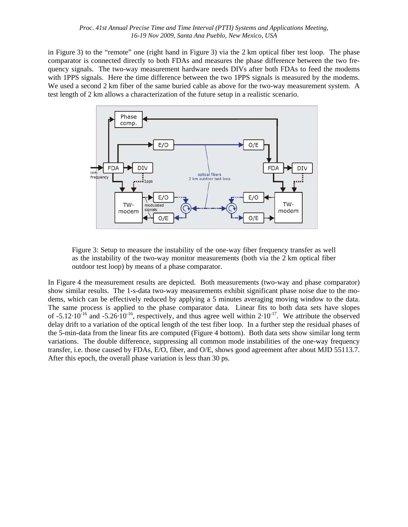in Figure 3) to the "remote" one (right hand in Figure 3) via the 2 km optical fiber test loop. The phase comparator is connected directly to both FDAs and measures the phase difference between the two frequency signals. The two-way measurement hardware needs DIVs after both FDAs to feed the modems with 1PPS signals. Here the time difference between the two 1PPS signals is measured by the modems. We used a second 2 km fiber of the same buried cable as above for the two-way measurement system. A test length of 2 km allows a characterization of the future setup in a realistic scenario.



Figure 3: Setup to measure the instability of the one-way fiber frequency transfer as well as the instability of the two-way monitor measurements (both via the 2 km optical fiber outdoor test loop) by means of a phase comparator.

In Figure 4 the measurement results are depicted. Both measurements (two-way and phase comparator) show similar results. The 1-s-data two-way measurements exhibit significant phase noise due to the modems, which can be effectively reduced by applying a 5 minutes averaging moving window to the data. The same process is applied to the phase comparator data. Linear fits to both data sets have slopes of -5.12·10<sup>-16</sup> and -5.26·10<sup>-16</sup>, respectively, and thus agree well within 2·10<sup>-17</sup>. We attribute the observed delay drift to a variation of the optical length of the test fiber loop. In a further step the residual phases of the 5-min-data from the linear fits are computed (Figure 4 bottom). Both data sets show similar long term variations. The double difference, suppressing all common mode instabilities of the one-way frequency transfer, i.e. those caused by FDAs, E/O, fiber, and O/E, shows good agreement after about MJD 55113.7. After this epoch, the overall phase variation is less than 30 ps.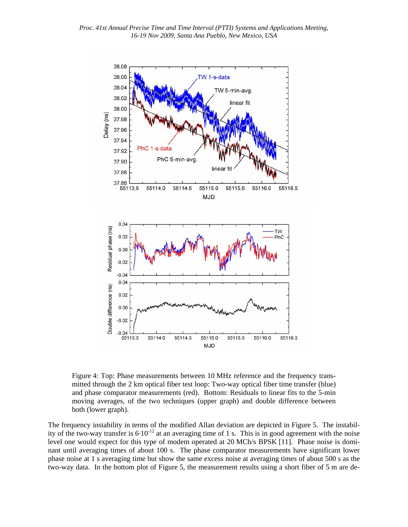

Figure 4: Top: Phase measurements between 10 MHz reference and the frequency transmitted through the 2 km optical fiber test loop: Two-way optical fiber time transfer (blue) and phase comparator measurements (red). Bottom: Residuals to linear fits to the 5-min moving averages, of the two techniques (upper graph) and double difference between both (lower graph).

The frequency instability in terms of the modified Allan deviation are depicted in Figure 5. The instability of the two-way transfer is  $6·10^{-12}$  at an averaging time of 1 s. This is in good agreement with the noise level one would expect for this type of modem operated at 20 MCh/s BPSK [11]. Phase noise is dominant until averaging times of about 100 s. The phase comparator measurements have significant lower phase noise at 1 s averaging time but show the same excess noise at averaging times of about 500 s as the two-way data. In the bottom plot of Figure 5, the measurement results using a short fiber of 5 m are de-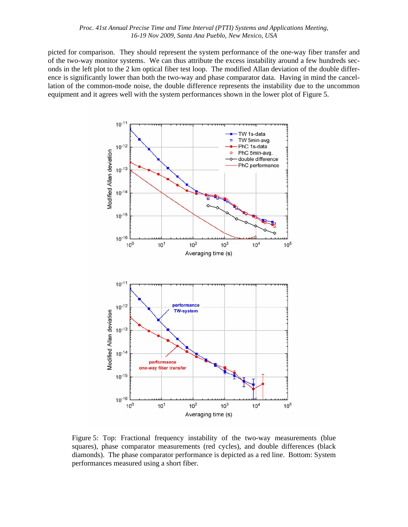picted for comparison. They should represent the system performance of the one-way fiber transfer and of the two-way monitor systems. We can thus attribute the excess instability around a few hundreds seconds in the left plot to the 2 km optical fiber test loop. The modified Allan deviation of the double difference is significantly lower than both the two-way and phase comparator data. Having in mind the cancellation of the common-mode noise, the double difference represents the instability due to the uncommon equipment and it agrees well with the system performances shown in the lower plot of Figure 5.



Figure 5: Top: Fractional frequency instability of the two-way measurements (blue squares), phase comparator measurements (red cycles), and double differences (black diamonds). The phase comparator performance is depicted as a red line. Bottom: System performances measured using a short fiber.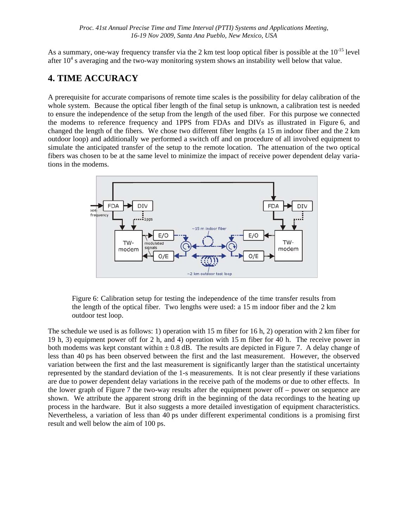As a summary, one-way frequency transfer via the 2 km test loop optical fiber is possible at the  $10^{-15}$  level after  $10<sup>4</sup>$  s averaging and the two-way monitoring system shows an instability well below that value.

### **4. TIME ACCURACY**

A prerequisite for accurate comparisons of remote time scales is the possibility for delay calibration of the whole system. Because the optical fiber length of the final setup is unknown, a calibration test is needed to ensure the independence of the setup from the length of the used fiber. For this purpose we connected the modems to reference frequency and 1PPS from FDAs and DIVs as illustrated in Figure 6, and changed the length of the fibers. We chose two different fiber lengths (a 15 m indoor fiber and the 2 km outdoor loop) and additionally we performed a switch off and on procedure of all involved equipment to simulate the anticipated transfer of the setup to the remote location. The attenuation of the two optical fibers was chosen to be at the same level to minimize the impact of receive power dependent delay variations in the modems.



Figure 6: Calibration setup for testing the independence of the time transfer results from the length of the optical fiber. Two lengths were used: a 15 m indoor fiber and the 2 km outdoor test loop.

The schedule we used is as follows: 1) operation with 15 m fiber for 16 h, 2) operation with 2 km fiber for 19 h, 3) equipment power off for 2 h, and 4) operation with 15 m fiber for 40 h. The receive power in both modems was kept constant within  $\pm$  0.8 dB. The results are depicted in Figure 7. A delay change of less than 40 ps has been observed between the first and the last measurement. However, the observed variation between the first and the last measurement is significantly larger than the statistical uncertainty represented by the standard deviation of the 1-s measurements. It is not clear presently if these variations are due to power dependent delay variations in the receive path of the modems or due to other effects. In the lower graph of Figure 7 the two-way results after the equipment power off – power on sequence are shown. We attribute the apparent strong drift in the beginning of the data recordings to the heating up process in the hardware. But it also suggests a more detailed investigation of equipment characteristics. Nevertheless, a variation of less than 40 ps under different experimental conditions is a promising first result and well below the aim of 100 ps.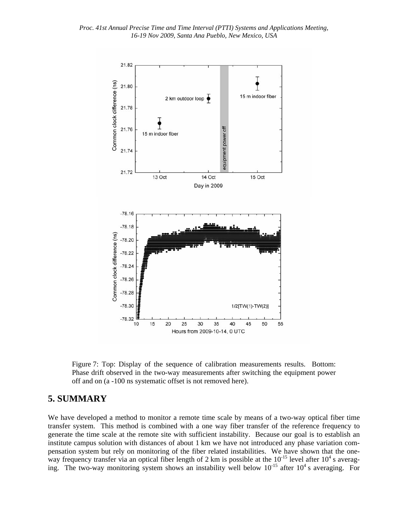

Figure 7: Top: Display of the sequence of calibration measurements results. Bottom: Phase drift observed in the two-way measurements after switching the equipment power off and on (a -100 ns systematic offset is not removed here).

### **5. SUMMARY**

We have developed a method to monitor a remote time scale by means of a two-way optical fiber time transfer system. This method is combined with a one way fiber transfer of the reference frequency to generate the time scale at the remote site with sufficient instability. Because our goal is to establish an institute campus solution with distances of about 1 km we have not introduced any phase variation compensation system but rely on monitoring of the fiber related instabilities. We have shown that the oneway frequency transfer via an optical fiber length of 2 km is possible at the  $10^{-15}$  level after  $10^4$  s averaging. The two-way monitoring system shows an instability well below  $10^{-15}$  after  $10^4$  s averaging. For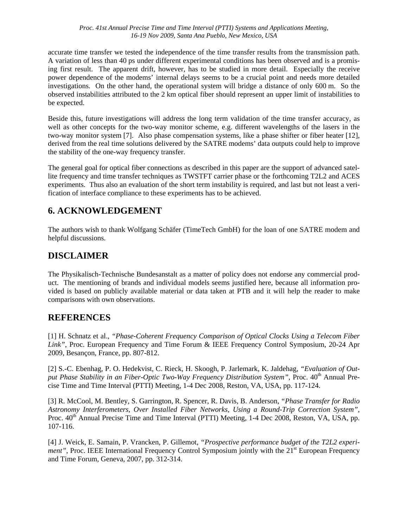accurate time transfer we tested the independence of the time transfer results from the transmission path. A variation of less than 40 ps under different experimental conditions has been observed and is a promising first result. The apparent drift, however, has to be studied in more detail. Especially the receive power dependence of the modems' internal delays seems to be a crucial point and needs more detailed investigations. On the other hand, the operational system will bridge a distance of only 600 m. So the observed instabilities attributed to the 2 km optical fiber should represent an upper limit of instabilities to be expected.

Beside this, future investigations will address the long term validation of the time transfer accuracy, as well as other concepts for the two-way monitor scheme, e.g. different wavelengths of the lasers in the two-way monitor system [7]. Also phase compensation systems, like a phase shifter or fiber heater [12], derived from the real time solutions delivered by the SATRE modems' data outputs could help to improve the stability of the one-way frequency transfer.

The general goal for optical fiber connections as described in this paper are the support of advanced satellite frequency and time transfer techniques as TWSTFT carrier phase or the forthcoming T2L2 and ACES experiments. Thus also an evaluation of the short term instability is required, and last but not least a verification of interface compliance to these experiments has to be achieved.

### **6. ACKNOWLEDGEMENT**

The authors wish to thank Wolfgang Schäfer (TimeTech GmbH) for the loan of one SATRE modem and helpful discussions.

### **DISCLAIMER**

The Physikalisch-Technische Bundesanstalt as a matter of policy does not endorse any commercial product. The mentioning of brands and individual models seems justified here, because all information provided is based on publicly available material or data taken at PTB and it will help the reader to make comparisons with own observations.

### **REFERENCES**

[1] H. Schnatz et al., *"Phase-Coherent Frequency Comparison of Optical Clocks Using a Telecom Fiber Link"*, Proc. European Frequency and Time Forum & IEEE Frequency Control Symposium, 20-24 Apr 2009, Besançon, France, pp. 807-812.

[2] S.-C. Ebenhag, P. O. Hedekvist, C. Rieck, H. Skoogh, P. Jarlemark, K. Jaldehag, *"Evaluation of Output Phase Stability in an Fiber-Optic Two-Way Frequency Distribution System"*, Proc.  $40^{th}$  Annual Precise Time and Time Interval (PTTI) Meeting, 1-4 Dec 2008, Reston, VA, USA, pp. 117-124.

[3] R. McCool, M. Bentley, S. Garrington, R. Spencer, R. Davis, B. Anderson, *"Phase Transfer for Radio Astronomy Interferometers, Over Installed Fiber Networks, Using a Round-Trip Correction System"*, Proc.  $40^{th}$  Annual Precise Time and Time Interval (PTTI) Meeting, 1-4 Dec 2008, Reston, VA, USA, pp. 107-116.

[4] J. Weick, E. Samain, P. Vrancken, P. Gillemot, *"Prospective performance budget of the T2L2 experiment*", Proc. IEEE International Frequency Control Symposium jointly with the 21<sup>st</sup> European Frequency and Time Forum, Geneva, 2007, pp. 312-314.